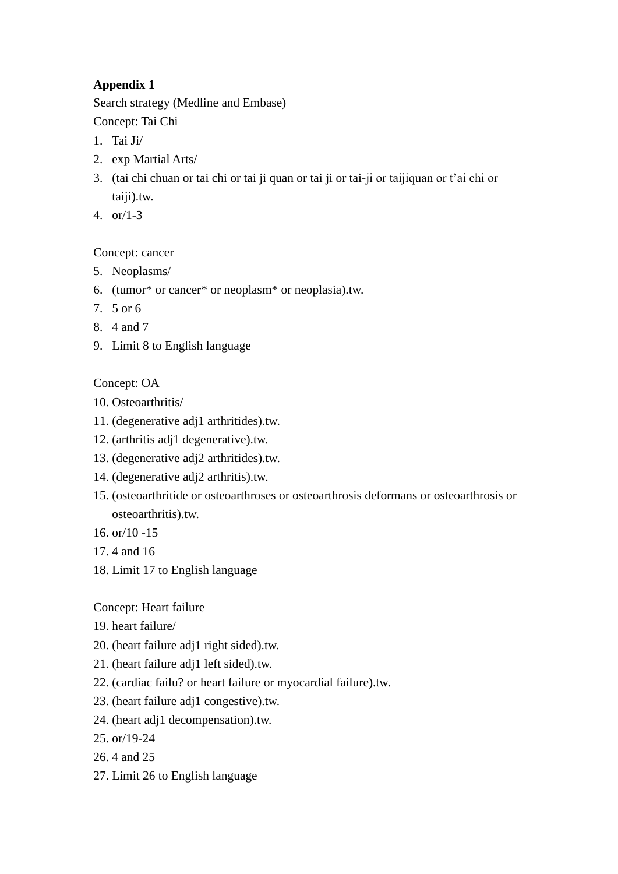# **Appendix 1**

Search strategy (Medline and Embase)

Concept: Tai Chi

- 1. Tai Ji/
- 2. exp Martial Arts/
- 3. (tai chi chuan or tai chi or tai ji quan or tai ji or tai-ji or taijiquan or t'ai chi or taiji).tw.
- 4. or/1-3

#### Concept: cancer

- 5. Neoplasms/
- 6. (tumor\* or cancer\* or neoplasm\* or neoplasia).tw.
- 7. 5 or 6
- 8. 4 and 7
- 9. Limit 8 to English language

#### Concept: OA

- 10. Osteoarthritis/
- 11. (degenerative adj1 arthritides).tw.
- 12. (arthritis adj1 degenerative).tw.
- 13. (degenerative adj2 arthritides).tw.
- 14. (degenerative adj2 arthritis).tw.
- 15. (osteoarthritide or osteoarthroses or osteoarthrosis deformans or osteoarthrosis or osteoarthritis).tw.
- 16. or/10 -15
- 17. 4 and 16
- 18. Limit 17 to English language

#### Concept: Heart failure

- 19. heart failure/
- 20. (heart failure adj1 right sided).tw.
- 21. (heart failure adj1 left sided).tw.
- 22. (cardiac failu? or heart failure or myocardial failure).tw.
- 23. (heart failure adj1 congestive).tw.
- 24. (heart adj1 decompensation).tw.
- 25. or/19-24
- 26. 4 and 25
- 27. Limit 26 to English language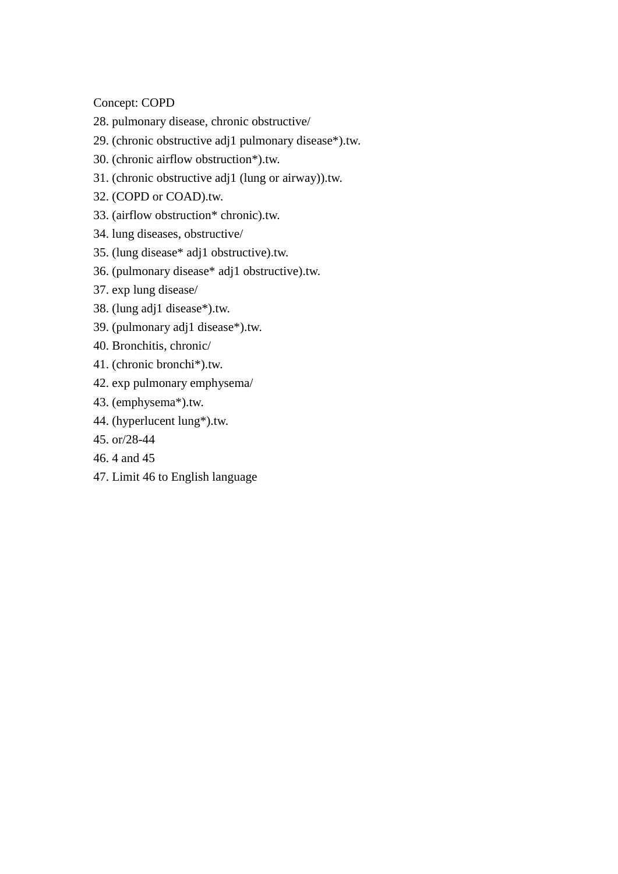Concept: COPD

- 28. pulmonary disease, chronic obstructive/
- 29. (chronic obstructive adj1 pulmonary disease\*).tw.
- 30. (chronic airflow obstruction\*).tw.
- 31. (chronic obstructive adj1 (lung or airway)).tw.
- 32. (COPD or COAD).tw.
- 33. (airflow obstruction\* chronic).tw.
- 34. lung diseases, obstructive/
- 35. (lung disease\* adj1 obstructive).tw.
- 36. (pulmonary disease\* adj1 obstructive).tw.
- 37. exp lung disease/
- 38. (lung adj1 disease\*).tw.
- 39. (pulmonary adj1 disease\*).tw.
- 40. Bronchitis, chronic/
- 41. (chronic bronchi\*).tw.
- 42. exp pulmonary emphysema/
- 43. (emphysema\*).tw.
- 44. (hyperlucent lung\*).tw.
- 45. or/28-44
- 46. 4 and 45
- 47. Limit 46 to English language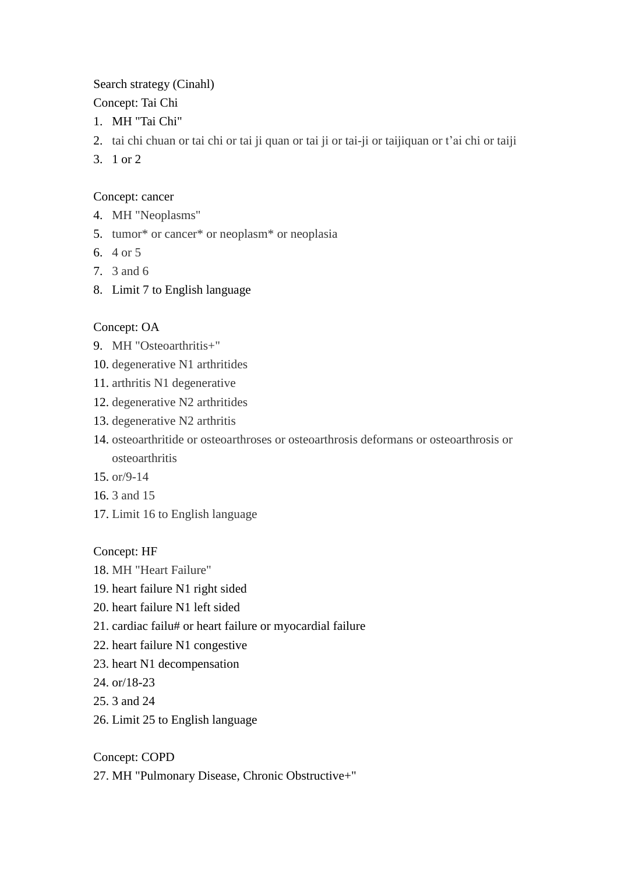#### Search strategy (Cinahl)

Concept: Tai Chi

- 1. MH "Tai Chi"
- 2. tai chi chuan or tai chi or tai ji quan or tai ji or tai-ji or taijiquan or t'ai chi or taiji
- 3. 1 or 2

# Concept: cancer

- 4. MH "Neoplasms"
- 5. tumor\* or cancer\* or neoplasm\* or neoplasia
- 6. 4 or 5
- 7. 3 and 6
- 8. Limit 7 to English language

# Concept: OA

- 9. MH "Osteoarthritis+"
- 10. degenerative N1 arthritides
- 11. arthritis N1 degenerative
- 12. degenerative N2 arthritides
- 13. degenerative N2 arthritis
- 14. osteoarthritide or osteoarthroses or osteoarthrosis deformans or osteoarthrosis or osteoarthritis
- 15. or/9-14
- 16. 3 and 15
- 17. Limit 16 to English language

# Concept: HF

- 18. MH "Heart Failure"
- 19. heart failure N1 right sided
- 20. heart failure N1 left sided
- 21. cardiac failu# or heart failure or myocardial failure
- 22. heart failure N1 congestive
- 23. heart N1 decompensation
- 24. or/18-23
- 25. 3 and 24
- 26. Limit 25 to English language

Concept: COPD

27. MH "Pulmonary Disease, Chronic Obstructive+"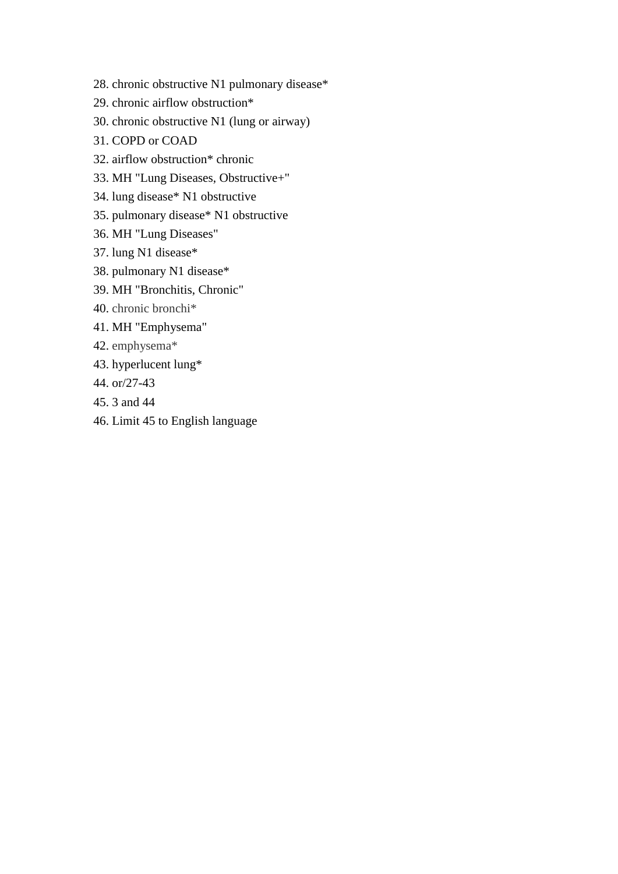- 28. chronic obstructive N1 pulmonary disease\*
- 29. chronic airflow obstruction\*
- 30. chronic obstructive N1 (lung or airway)
- 31. COPD or COAD
- 32. airflow obstruction\* chronic
- 33. MH "Lung Diseases, Obstructive+"
- 34. lung disease\* N1 obstructive
- 35. pulmonary disease\* N1 obstructive
- 36. MH "Lung Diseases"
- 37. lung N1 disease\*
- 38. pulmonary N1 disease\*
- 39. MH "Bronchitis, Chronic"
- 40. chronic bronchi\*
- 41. MH "Emphysema"
- 42. emphysema\*
- 43. hyperlucent lung\*
- 44. or/27-43
- 45. 3 and 44
- 46. Limit 45 to English language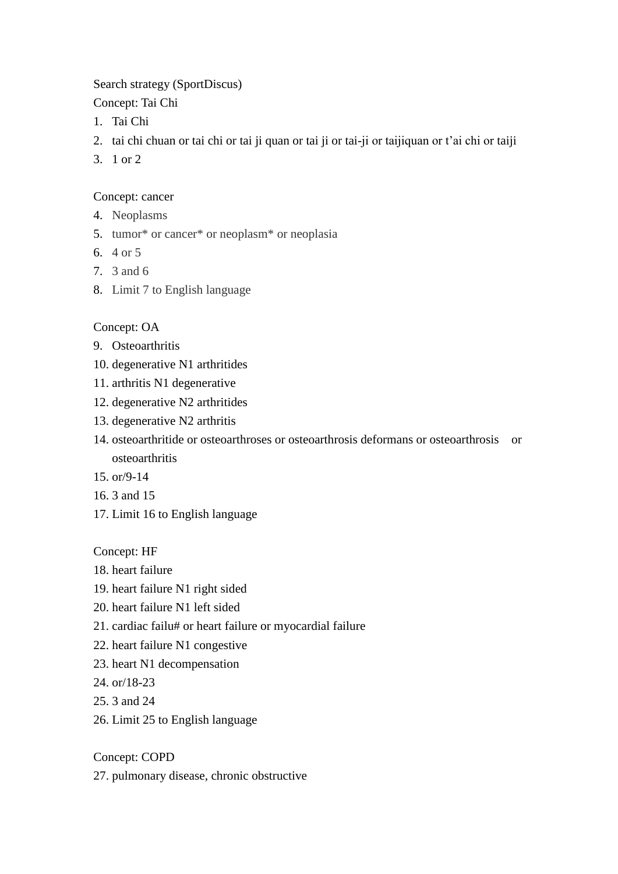#### Search strategy (SportDiscus)

Concept: Tai Chi

- 1. Tai Chi
- 2. tai chi chuan or tai chi or tai ji quan or tai ji or tai-ji or taijiquan or t'ai chi or taiji
- 3. 1 or 2

### Concept: cancer

- 4. Neoplasms
- 5. tumor\* or cancer\* or neoplasm\* or neoplasia
- 6. 4 or 5
- 7. 3 and 6
- 8. Limit 7 to English language

# Concept: OA

- 9. Osteoarthritis
- 10. degenerative N1 arthritides
- 11. arthritis N1 degenerative
- 12. degenerative N2 arthritides
- 13. degenerative N2 arthritis
- 14. osteoarthritide or osteoarthroses or osteoarthrosis deformans or osteoarthrosis or osteoarthritis
- 15. or/9-14
- 16. 3 and 15
- 17. Limit 16 to English language

Concept: HF

- 18. heart failure
- 19. heart failure N1 right sided
- 20. heart failure N1 left sided
- 21. cardiac failu# or heart failure or myocardial failure
- 22. heart failure N1 congestive
- 23. heart N1 decompensation
- 24. or/18-23
- 25. 3 and 24
- 26. Limit 25 to English language

Concept: COPD

27. pulmonary disease, chronic obstructive